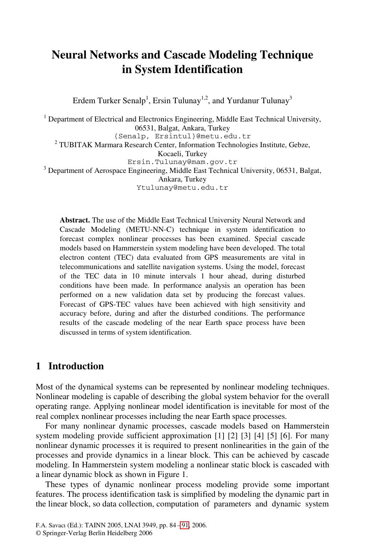# **Neural Networks and Cascade Modeling Technique in System Identification**

Erdem Turker Senalp<sup>1</sup>, Ersin Tulunay<sup>1,2</sup>, and Yurdanur Tulunay<sup>3</sup>

<sup>1</sup> Department of Electrical and Electronics Engineering, Middle East Technical University, 06531, Balgat, Ankara, Turkey {Senalp, Ersintul}@metu.edu.tr <sup>2</sup> TUBITAK Marmara Research Center, Information Technologies Institute, Gebze, Kocaeli, Turkey Ersin.Tulunay@mam.gov.tr <sup>3</sup> Department of Aerospace Engineering, Middle East Technical University, 06531, Balgat, Ankara, Turkey Ytulunay@metu.edu.tr

**Abstract.** The use of the Middle East Technical University Neural Network and Cascade Modeling (METU-NN-C) technique in system identification to forecast complex nonlinear processes has been examined. Special cascade models based on Hammerstein system modeling have been developed. The total electron content (TEC) data evaluated from GPS measurements are vital in telecommunications and satellite navigation systems. Using the model, forecast of the TEC data in 10 minute intervals 1 hour ahead, during disturbed conditions have been made. In performance analysis an operation has been performed on a new validation data set by producing the forecast values. Forecast of GPS-TEC values have been achieved with high sensitivity and accuracy before, during and after the disturbed conditions. The performance results of the cascade modeling of the near Earth space process have been discussed in terms of system identification.

# **1 Introduction**

Most of the dynamical systems can be represented by nonlinear modeling techniques. Nonlinear modeling is capable of describing the global system behavior for the overall operating range. Applying nonlinear model identification is inevitable for most of the real complex nonlinear processes including the near Earth space processes.

For many nonlinear dynamic processes, cascade models based on Hammerstein system modeling provide sufficient approximation [1] [2] [3] [4] [5] [6]. For many nonlinear dynamic processes it is required to present nonlinearities in the gain of the processes and provide dynamics in a linear block. This can be achieved by cascade modeling. In Hammerstein system modeling a nonlinear static block is cascaded with a linear dynamic block as shown in Figure 1.

These types of dynamic nonlinear process modeling provide some important features. The process identification task is simplified by modeling the dynamic part in the linear block, so data collection, computation of parameters and dynamic system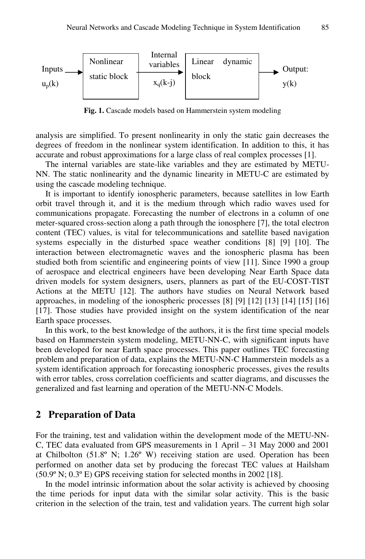

**Fig. 1.** Cascade models based on Hammerstein system modeling

analysis are simplified. To present nonlinearity in only the static gain decreases the degrees of freedom in the nonlinear system identification. In addition to this, it has accurate and robust approximations for a large class of real complex processes [1].

The internal variables are state-like variables and they are estimated by METU-NN. The static nonlinearity and the dynamic linearity in METU-C are estimated by using the cascade modeling technique.

It is important to identify ionospheric parameters, because satellites in low Earth orbit travel through it, and it is the medium through which radio waves used for communications propagate. Forecasting the number of electrons in a column of one meter-squared cross-section along a path through the ionosphere [7], the total electron content (TEC) values, is vital for telecommunications and satellite based navigation systems especially in the disturbed space weather conditions [8] [9] [10]. The interaction between electromagnetic waves and the ionospheric plasma has been studied both from scientific and engineering points of view [11]. Since 1990 a group of aerospace and electrical engineers have been developing Near Earth Space data driven models for system designers, users, planners as part of the EU-COST-TIST Actions at the METU [12]. The authors have studies on Neural Network based approaches, in modeling of the ionospheric processes [8] [9] [12] [13] [14] [15] [16] [17]. Those studies have provided insight on the system identification of the near Earth space processes.

In this work, to the best knowledge of the authors, it is the first time special models based on Hammerstein system modeling, METU-NN-C, with significant inputs have been developed for near Earth space processes. This paper outlines TEC forecasting problem and preparation of data, explains the METU-NN-C Hammerstein models as a system identification approach for forecasting ionospheric processes, gives the results with error tables, cross correlation coefficients and scatter diagrams, and discusses the generalized and fast learning and operation of the METU-NN-C Models.

#### **2 Preparation of Data**

For the training, test and validation within the development mode of the METU-NN-C, TEC data evaluated from GPS measurements in 1 April – 31 May 2000 and 2001 at Chilbolton (51.8º N; 1.26º W) receiving station are used. Operation has been performed on another data set by producing the forecast TEC values at Hailsham (50.9º N; 0.3º E) GPS receiving station for selected months in 2002 [18].

In the model intrinsic information about the solar activity is achieved by choosing the time periods for input data with the similar solar activity. This is the basic criterion in the selection of the train, test and validation years. The current high solar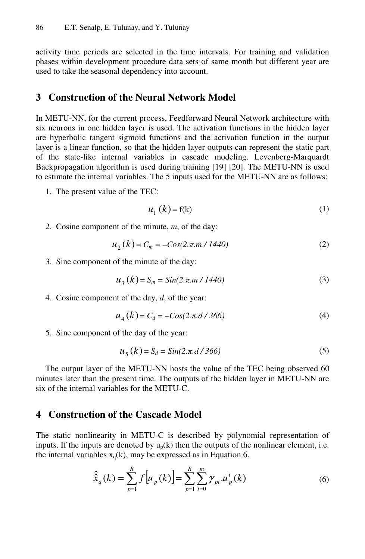activity time periods are selected in the time intervals. For training and validation phases within development procedure data sets of same month but different year are used to take the seasonal dependency into account.

## **3 Construction of the Neural Network Model**

In METU-NN, for the current process, Feedforward Neural Network architecture with six neurons in one hidden layer is used. The activation functions in the hidden layer are hyperbolic tangent sigmoid functions and the activation function in the output layer is a linear function, so that the hidden layer outputs can represent the static part of the state-like internal variables in cascade modeling. Levenberg-Marquardt Backpropagation algorithm is used during training [19] [20]. The METU-NN is used to estimate the internal variables. The 5 inputs used for the METU-NN are as follows:

1. The present value of the TEC:

$$
u_1(k) = f(k) \tag{1}
$$

2. Cosine component of the minute, *m*, of the day:

$$
u_2(k) = C_m = -\cos(2\pi m / 1440) \tag{2}
$$

3. Sine component of the minute of the day:

$$
u_3(k) = S_m = \sin(2\pi m / 1440)
$$
 (3)

4. Cosine component of the day, *d*, of the year:

$$
u_4(k) = C_d = -\cos(2\pi \cdot d / 366) \tag{4}
$$

5. Sine component of the day of the year:

$$
u_5(k) = S_d = \sin(2\pi d / 366) \tag{5}
$$

The output layer of the METU-NN hosts the value of the TEC being observed 60 minutes later than the present time. The outputs of the hidden layer in METU-NN are six of the internal variables for the METU-C.

#### **4 Construction of the Cascade Model**

The static nonlinearity in METU-C is described by polynomial representation of inputs. If the inputs are denoted by  $u_n(k)$  then the outputs of the nonlinear element, i.e. the internal variables  $x<sub>q</sub>(k)$ , may be expressed as in Equation 6.

$$
\hat{\hat{x}}_q(k) = \sum_{p=1}^R f[u_p(k)] = \sum_{p=1}^R \sum_{i=0}^m \gamma_{pi} u_p^i(k)
$$
\n(6)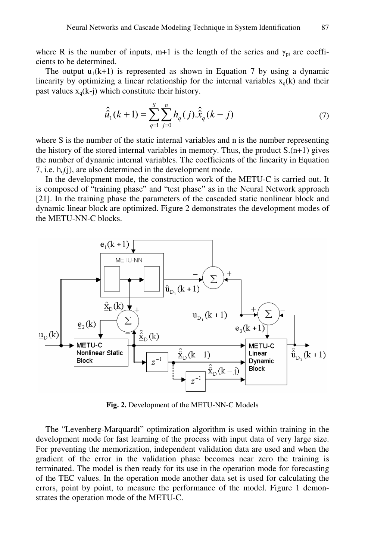where R is the number of inputs, m+1 is the length of the series and  $\gamma_{\text{pi}}$  are coefficients to be determined.

The output  $u_1(k+1)$  is represented as shown in Equation 7 by using a dynamic linearity by optimizing a linear relationship for the internal variables  $x_q(k)$  and their past values  $x<sub>q</sub>(k-j)$  which constitute their history.

$$
\hat{\hat{u}}_1(k+1) = \sum_{q=1}^{S} \sum_{j=0}^{n} h_q(j) . \hat{\hat{x}}_q(k-j)
$$
\n(7)

where S is the number of the static internal variables and n is the number representing the history of the stored internal variables in memory. Thus, the product  $S(n+1)$  gives the number of dynamic internal variables. The coefficients of the linearity in Equation 7, i.e.  $h_0(j)$ , are also determined in the development mode.

In the development mode, the construction work of the METU-C is carried out. It is composed of "training phase" and "test phase" as in the Neural Network approach [21]. In the training phase the parameters of the cascaded static nonlinear block and dynamic linear block are optimized. Figure 2 demonstrates the development modes of the METU-NN-C blocks.



**Fig. 2.** Development of the METU-NN-C Models

The "Levenberg-Marquardt" optimization algorithm is used within training in the development mode for fast learning of the process with input data of very large size. For preventing the memorization, independent validation data are used and when the gradient of the error in the validation phase becomes near zero the training is terminated. The model is then ready for its use in the operation mode for forecasting of the TEC values. In the operation mode another data set is used for calculating the errors, point by point, to measure the performance of the model. Figure 1 demonstrates the operation mode of the METU-C.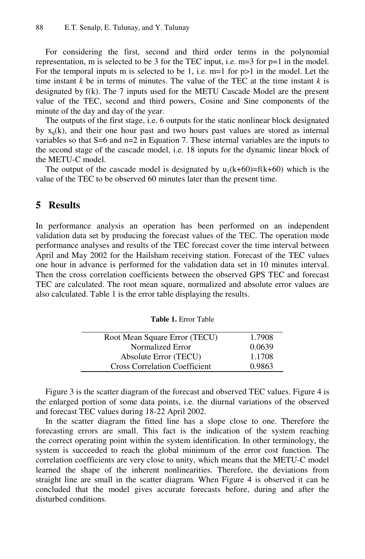For considering the first, second and third order terms in the polynomial representation, m is selected to be 3 for the TEC input, i.e. m=3 for p=1 in the model. For the temporal inputs m is selected to be 1, i.e. m=1 for p>1 in the model. Let the time instant  $k$  be in terms of minutes. The value of the TEC at the time instant  $k$  is designated by  $f(k)$ . The 7 inputs used for the METU Cascade Model are the present value of the TEC, second and third powers, Cosine and Sine components of the minute of the day and day of the year.

The outputs of the first stage, i.e. 6 outputs for the static nonlinear block designated by  $x<sub>q</sub>(k)$ , and their one hour past and two hours past values are stored as internal variables so that S=6 and n=2 in Equation 7. These internal variables are the inputs to the second stage of the cascade model, i.e. 18 inputs for the dynamic linear block of the METU-C model.

The output of the cascade model is designated by  $u_1(k+60)=f(k+60)$  which is the value of the TEC to be observed 60 minutes later than the present time.

#### **5 Results**

In performance analysis an operation has been performed on an independent validation data set by producing the forecast values of the TEC. The operation mode performance analyses and results of the TEC forecast cover the time interval between April and May 2002 for the Hailsham receiving station. Forecast of the TEC values one hour in advance is performed for the validation data set in 10 minutes interval. Then the cross correlation coefficients between the observed GPS TEC and forecast TEC are calculated. The root mean square, normalized and absolute error values are also calculated. Table 1 is the error table displaying the results.

| <b>Table 1. Error Table</b> |  |  |  |  |
|-----------------------------|--|--|--|--|
|-----------------------------|--|--|--|--|

| Root Mean Square Error (TECU)        | 1.7908 |
|--------------------------------------|--------|
| Normalized Error                     | 0.0639 |
| Absolute Error (TECU)                | 1.1708 |
| <b>Cross Correlation Coefficient</b> | 0.9863 |
|                                      |        |

Figure 3 is the scatter diagram of the forecast and observed TEC values. Figure 4 is the enlarged portion of some data points, i.e. the diurnal variations of the observed and forecast TEC values during 18-22 April 2002.

In the scatter diagram the fitted line has a slope close to one. Therefore the forecasting errors are small. This fact is the indication of the system reaching the correct operating point within the system identification. In other terminology, the system is succeeded to reach the global minimum of the error cost function. The correlation coefficients are very close to unity, which means that the METU-C model learned the shape of the inherent nonlinearities. Therefore, the deviations from straight line are small in the scatter diagram. When Figure 4 is observed it can be concluded that the model gives accurate forecasts before, during and after the disturbed conditions.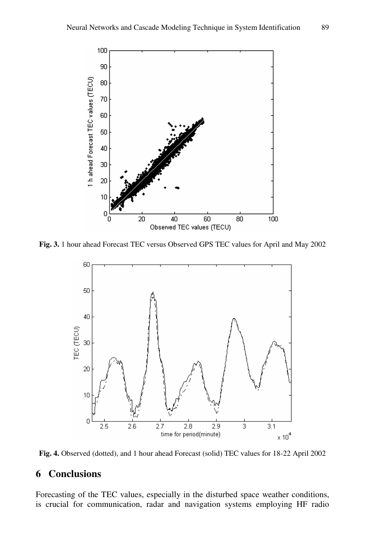

**Fig. 3.** 1 hour ahead Forecast TEC versus Observed GPS TEC values for April and May 2002



**Fig. 4.** Observed (dotted), and 1 hour ahead Forecast (solid) TEC values for 18-22 April 2002

# **6 Conclusions**

Forecasting of the TEC values, especially in the disturbed space weather conditions, is crucial for communication, radar and navigation systems employing HF radio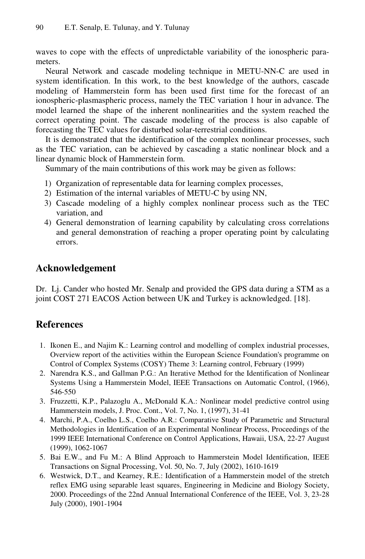waves to cope with the effects of unpredictable variability of the ionospheric parameters.

Neural Network and cascade modeling technique in METU-NN-C are used in system identification. In this work, to the best knowledge of the authors, cascade modeling of Hammerstein form has been used first time for the forecast of an ionospheric-plasmaspheric process, namely the TEC variation 1 hour in advance. The model learned the shape of the inherent nonlinearities and the system reached the correct operating point. The cascade modeling of the process is also capable of forecasting the TEC values for disturbed solar-terrestrial conditions.

It is demonstrated that the identification of the complex nonlinear processes, such as the TEC variation, can be achieved by cascading a static nonlinear block and a linear dynamic block of Hammerstein form.

Summary of the main contributions of this work may be given as follows:

- 1) Organization of representable data for learning complex processes,
- 2) Estimation of the internal variables of METU-C by using NN,
- 3) Cascade modeling of a highly complex nonlinear process such as the TEC variation, and
- 4) General demonstration of learning capability by calculating cross correlations and general demonstration of reaching a proper operating point by calculating errors.

## **Acknowledgement**

Dr. Lj. Cander who hosted Mr. Senalp and provided the GPS data during a STM as a joint COST 271 EACOS Action between UK and Turkey is acknowledged. [18].

# **References**

- 1. Ikonen E., and Najim K.: Learning control and modelling of complex industrial processes, Overview report of the activities within the European Science Foundation's programme on Control of Complex Systems (COSY) Theme 3: Learning control, February (1999)
- 2. Narendra K.S., and Gallman P.G.: An Iterative Method for the Identification of Nonlinear Systems Using a Hammerstein Model, IEEE Transactions on Automatic Control, (1966), 546-550
- 3. Fruzzetti, K.P., Palazoglu A., McDonald K.A.: Nonlinear model predictive control using Hammerstein models, J. Proc. Cont., Vol. 7, No. 1, (1997), 31-41
- 4. Marchi, P.A., Coelho L.S., Coelho A.R.: Comparative Study of Parametric and Structural Methodologies in Identification of an Experimental Nonlinear Process, Proceedings of the 1999 IEEE International Conference on Control Applications, Hawaii, USA, 22-27 August (1999), 1062-1067
- 5. Bai E.W., and Fu M.: A Blind Approach to Hammerstein Model Identification, IEEE Transactions on Signal Processing, Vol. 50, No. 7, July (2002), 1610-1619
- 6. Westwick, D.T., and Kearney, R.E.: Identification of a Hammerstein model of the stretch reflex EMG using separable least squares, Engineering in Medicine and Biology Society, 2000. Proceedings of the 22nd Annual International Conference of the IEEE, Vol. 3, 23-28 July (2000), 1901-1904